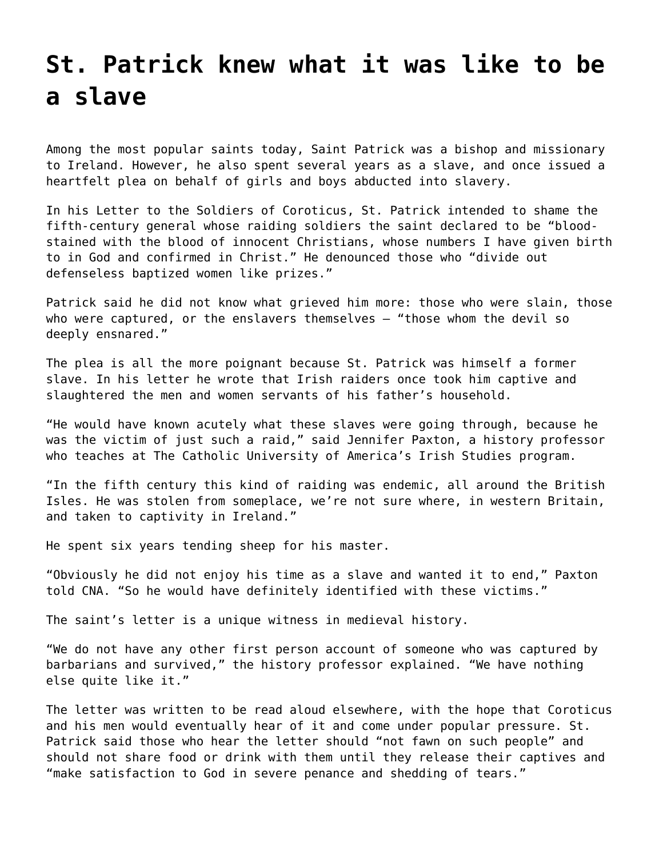## **[St. Patrick knew what it was like to be](https://grandinmedia.ca/st-patrick-knew-what-it-was-like-to-be-a-slave/) [a slave](https://grandinmedia.ca/st-patrick-knew-what-it-was-like-to-be-a-slave/)**

Among the most popular saints today, Saint Patrick was a bishop and missionary to Ireland. However, he also spent several years as a slave, and once issued a heartfelt plea on behalf of girls and boys abducted into slavery.

In his Letter to the Soldiers of Coroticus, St. Patrick intended to shame the fifth-century general whose raiding soldiers the saint declared to be "bloodstained with the blood of innocent Christians, whose numbers I have given birth to in God and confirmed in Christ." He denounced those who "divide out defenseless baptized women like prizes."

Patrick said he did not know what grieved him more: those who were slain, those who were captured, or the enslavers themselves - "those whom the devil so deeply ensnared."

The plea is all the more poignant because St. Patrick was himself a former slave. In his letter he wrote that Irish raiders once took him captive and slaughtered the men and women servants of his father's household.

"He would have known acutely what these slaves were going through, because he was the victim of just such a raid," said Jennifer Paxton, a history professor who teaches at The Catholic University of America's Irish Studies program.

"In the fifth century this kind of raiding was endemic, all around the British Isles. He was stolen from someplace, we're not sure where, in western Britain, and taken to captivity in Ireland."

He spent six years tending sheep for his master.

"Obviously he did not enjoy his time as a slave and wanted it to end," Paxton told CNA. "So he would have definitely identified with these victims."

The saint's letter is a unique witness in medieval history.

"We do not have any other first person account of someone who was captured by barbarians and survived," the history professor explained. "We have nothing else quite like it."

The letter was written to be read aloud elsewhere, with the hope that Coroticus and his men would eventually hear of it and come under popular pressure. St. Patrick said those who hear the letter should "not fawn on such people" and should not share food or drink with them until they release their captives and "make satisfaction to God in severe penance and shedding of tears."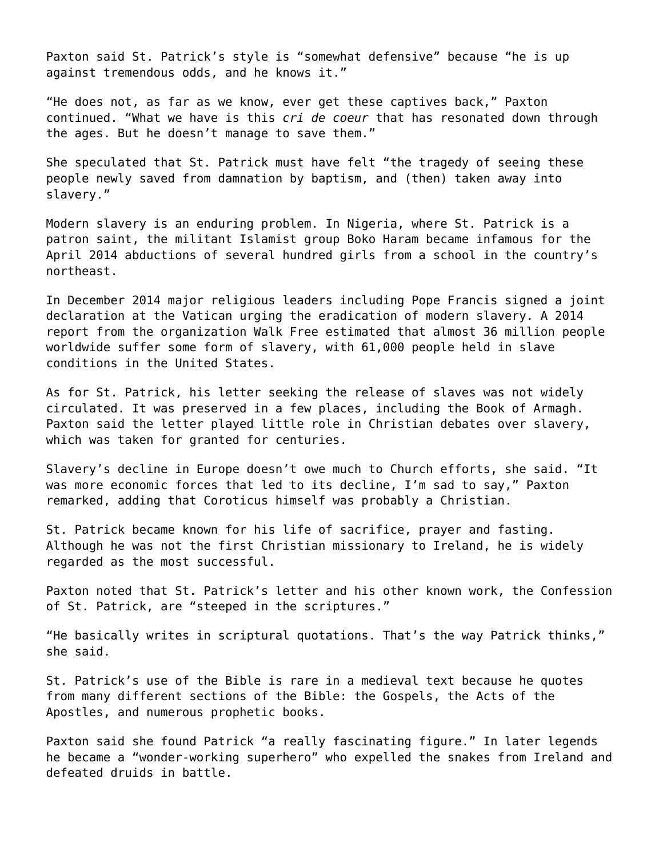Paxton said St. Patrick's style is "somewhat defensive" because "he is up against tremendous odds, and he knows it."

"He does not, as far as we know, ever get these captives back," Paxton continued. "What we have is this *cri de coeur* that has resonated down through the ages. But he doesn't manage to save them."

She speculated that St. Patrick must have felt "the tragedy of seeing these people newly saved from damnation by baptism, and (then) taken away into slavery."

Modern slavery is an enduring problem. In Nigeria, where St. Patrick is a patron saint, the militant Islamist group Boko Haram became infamous for the April 2014 abductions of several hundred girls from a school in the country's northeast.

In December 2014 major religious leaders including Pope Francis signed a joint declaration at the Vatican urging the eradication of modern slavery. A 2014 report from the organization Walk Free estimated that almost 36 million people worldwide suffer some form of slavery, with 61,000 people held in slave conditions in the United States.

As for St. Patrick, his letter seeking the release of slaves was not widely circulated. It was preserved in a few places, including the Book of Armagh. Paxton said the letter played little role in Christian debates over slavery, which was taken for granted for centuries.

Slavery's decline in Europe doesn't owe much to Church efforts, she said. "It was more economic forces that led to its decline, I'm sad to say," Paxton remarked, adding that Coroticus himself was probably a Christian.

St. Patrick became known for his life of sacrifice, prayer and fasting. Although he was not the first Christian missionary to Ireland, he is widely regarded as the most successful.

Paxton noted that St. Patrick's letter and his other known work, the Confession of St. Patrick, are "steeped in the scriptures."

"He basically writes in scriptural quotations. That's the way Patrick thinks," she said.

St. Patrick's use of the Bible is rare in a medieval text because he quotes from many different sections of the Bible: the Gospels, the Acts of the Apostles, and numerous prophetic books.

Paxton said she found Patrick "a really fascinating figure." In later legends he became a "wonder-working superhero" who expelled the snakes from Ireland and defeated druids in battle.